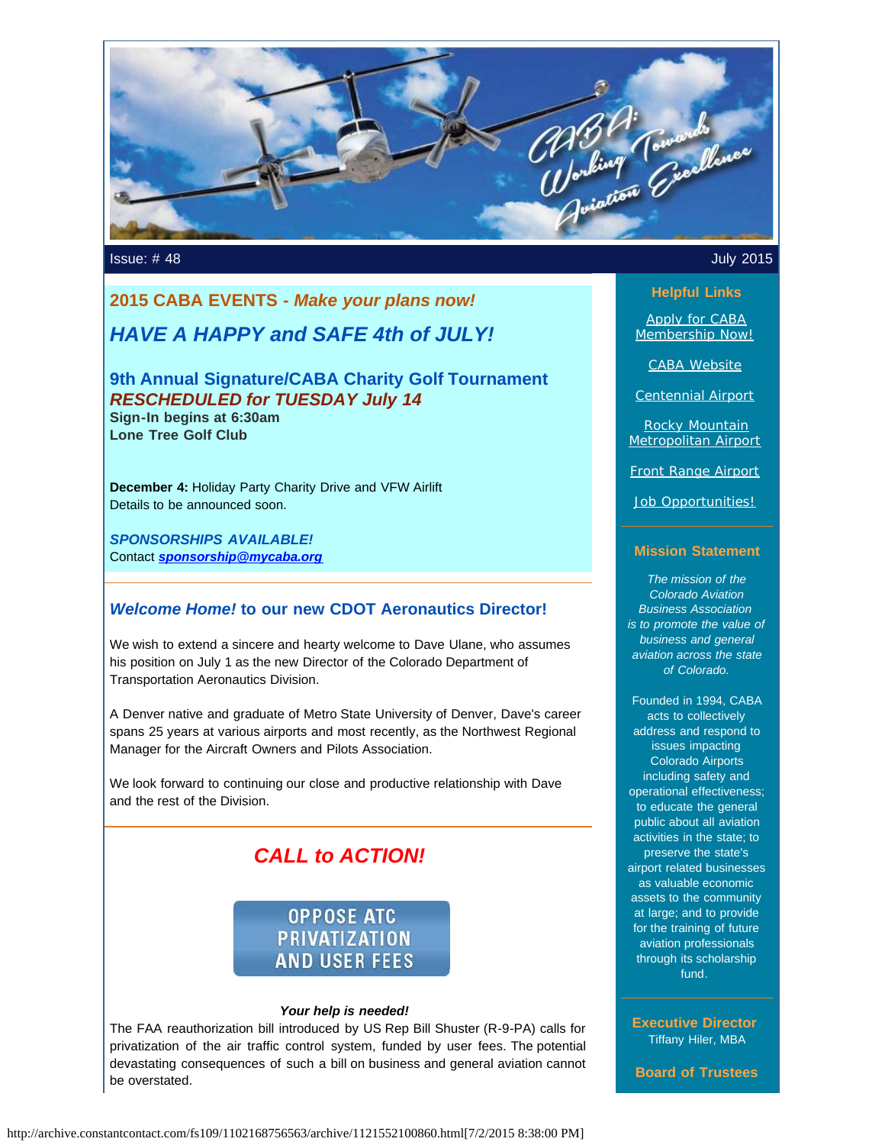

Issue: # 48 July 2015

# **2015 CABA EVENTS -** *Make your plans now!*

# *HAVE A HAPPY and SAFE 4th of JULY!*

**9th Annual Signature/CABA Charity Golf Tournament** *RESCHEDULED for TUESDAY July 14* **Sign-In begins at 6:30am**

**Lone Tree Golf Club**

**December 4:** Holiday Party Charity Drive and VFW Airlift Details to be announced soon.

*SPONSORSHIPS AVAILABLE!* Contact *[sponsorship@mycaba.org](mailto:sponsorship@mycaba.org)*

#### *Welcome Home!* **to our new CDOT Aeronautics Director!**

We wish to extend a sincere and hearty welcome to Dave Ulane, who assumes his position on July 1 as the new Director of the Colorado Department of Transportation Aeronautics Division.

A Denver native and graduate of Metro State University of Denver, Dave's career spans 25 years at various airports and most recently, as the Northwest Regional Manager for the Aircraft Owners and Pilots Association.

We look forward to continuing our close and productive relationship with Dave and the rest of the Division.

# *CALL to ACTION!*

# **OPPOSE ATC PRIVATIZATION AND USER FEES**

#### *Your help is needed!*

The FAA reauthorization bill introduced by US Rep Bill Shuster (R-9-PA) calls for privatization of the air traffic control system, funded by user fees. The potential devastating consequences of such a bill on business and general aviation cannot be overstated.

#### **Helpful Links**

[Apply for CABA](http://www.mycaba.org/application?utm_source=Copy+of+Newsletter+July+2015&utm_campaign=July+2015+Newsletter+Resend&utm_medium=email) [Membership Now!](http://www.mycaba.org/application?utm_source=Copy+of+Newsletter+July+2015&utm_campaign=July+2015+Newsletter+Resend&utm_medium=email)

[CABA Website](http://www.mycaba.org/?utm_source=Copy+of+Newsletter+July+2015&utm_campaign=July+2015+Newsletter+Resend&utm_medium=email)

[Centennial Airport](http://centennialairport.com/?utm_source=Copy+of+Newsletter+July+2015&utm_campaign=July+2015+Newsletter+Resend&utm_medium=email)

[Rocky Mountain](http://jeffco.us/airport/?utm_source=Copy+of+Newsletter+July+2015&utm_campaign=July+2015+Newsletter+Resend&utm_medium=email) [Metropolitan Airport](http://jeffco.us/airport/?utm_source=Copy+of+Newsletter+July+2015&utm_campaign=July+2015+Newsletter+Resend&utm_medium=email)

[Front Range Airport](http://www.ftg-airport.com/?utm_source=Copy+of+Newsletter+July+2015&utm_campaign=July+2015+Newsletter+Resend&utm_medium=email)

[Job Opportunities!](http://mycaba.org/JobOps?utm_source=Copy+of+Newsletter+July+2015&utm_campaign=July+2015+Newsletter+Resend&utm_medium=email)

#### **Mission Statement**

*The mission of the Colorado Aviation Business Association is to promote the value of business and general aviation across the state of Colorado.*

Founded in 1994, CABA acts to collectively address and respond to issues impacting Colorado Airports including safety and operational effectiveness; to educate the general public about all aviation activities in the state; to preserve the state's airport related businesses as valuable economic assets to the community at large; and to provide for the training of future aviation professionals through its scholarship fund.

**Executive Director** Tiffany Hiler, MBA

**Board of Trustees**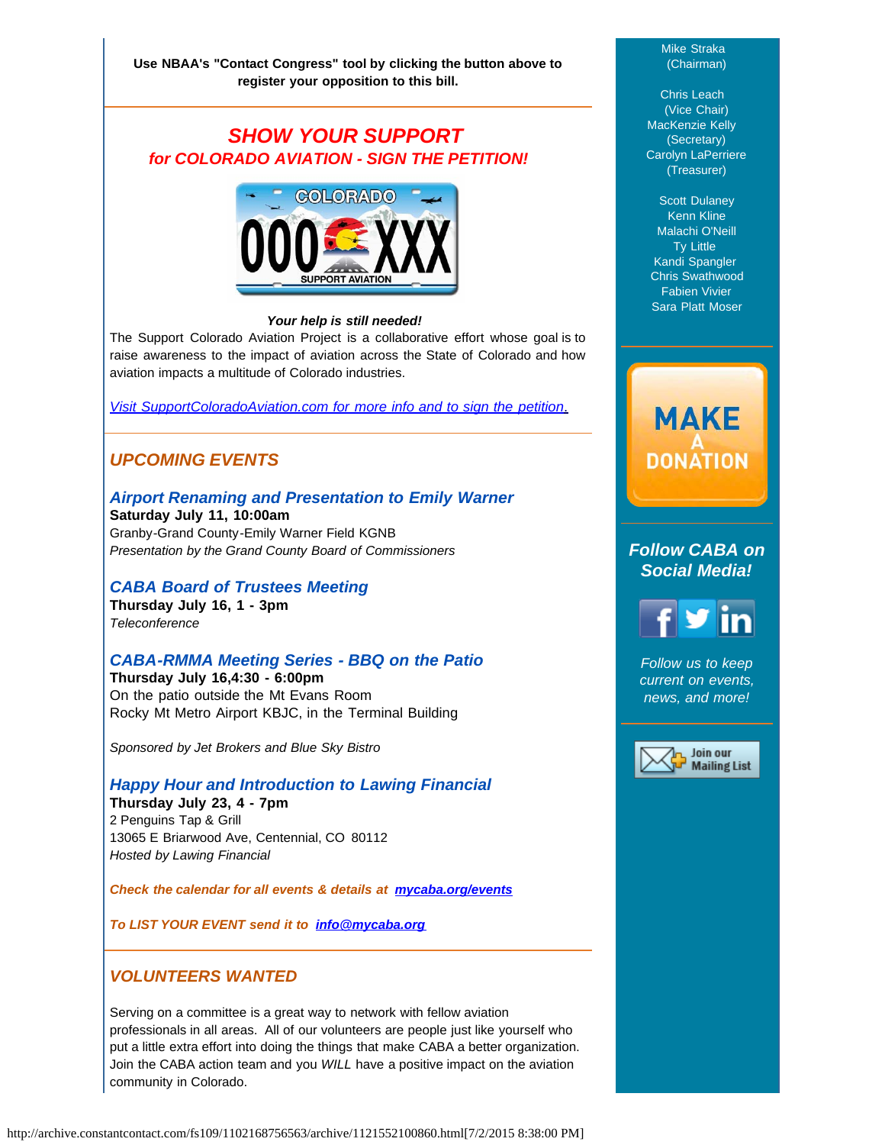# *SHOW YOUR SUPPORT for COLORADO AVIATION - SIGN THE PETITION!*



#### *Your help is still needed!*

The Support Colorado Aviation Project is a collaborative effort whose goal is to raise awareness to the impact of aviation across the State of Colorado and how aviation impacts a multitude of Colorado industries.

*[Visit SupportColoradoAviation.com for more info and to sign the petition](http://www.supportcoloradoaviation.com/?utm_source=Copy+of+Newsletter+July+2015&utm_campaign=July+2015+Newsletter+Resend&utm_medium=email)*[.](http://www.supportcoloradoaviation.com/?utm_source=Copy+of+Newsletter+July+2015&utm_campaign=July+2015+Newsletter+Resend&utm_medium=email)

### *UPCOMING EVENTS*

# *Airport Renaming and Presentation to Emily Warner*

**Saturday July 11, 10:00am**  Granby-Grand County-Emily Warner Field KGNB *Presentation by the Grand County Board of Commissioners*

#### *CABA Board of Trustees Meeting*

**Thursday July 16, 1 - 3pm** *Teleconference*

#### *CABA-RMMA Meeting Series - BBQ on the Patio*

**Thursday July 16,4:30 - 6:00pm** On the patio outside the Mt Evans Room Rocky Mt Metro Airport KBJC, in the Terminal Building

*Sponsored by Jet Brokers and Blue Sky Bistro*

#### *Happy Hour and Introduction to Lawing Financial*

**Thursday July 23, 4 - 7pm** 2 Penguins Tap & Grill 13065 E Briarwood Ave, Centennial, CO 80112 *Hosted by Lawing Financial*

*Check the calendar for all events & details at [mycaba.org/events](http://mycaba.org/events?utm_source=Copy+of+Newsletter+July+2015&utm_campaign=July+2015+Newsletter+Resend&utm_medium=email)*

*To LIST YOUR EVENT send it to [info@mycaba.org](mailto:info@mycaba.org)*

#### *VOLUNTEERS WANTED*

Serving on a committee is a great way to network with fellow aviation professionals in all areas. All of our volunteers are people just like yourself who put a little extra effort into doing the things that make CABA a better organization. Join the CABA action team and you *WILL* have a positive impact on the aviation community in Colorado.

#### Mike Straka (Chairman)

Chris Leach (Vice Chair) MacKenzie Kelly (Secretary) Carolyn LaPerriere (Treasurer)

Scott Dulaney Kenn Kline Malachi O'Neill Ty Little Kandi Spangler Chris Swathwood Fabien Vivier Sara Platt Moser

# **MAKE DONATION**

#### *Follow CABA on Social Media!*



*Follow us to keep current on events, news, and more!*